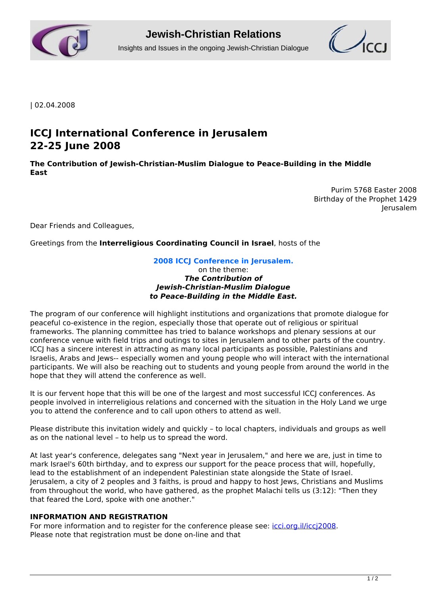



| 02.04.2008

# **ICCJ International Conference in Jerusalem 22-25 June 2008**

**The Contribution of Jewish-Christian-Muslim Dialogue to Peace-Building in the Middle East**

> Purim 5768 Easter 2008 Birthday of the Prophet 1429 Jerusalem

Dear Friends and Colleagues,

Greetings from the **Interreligious Coordinating Council in Israel**, hosts of the

### **2008 ICCJ Conference in Jerusalem.**

on the theme: *The Contribution of Jewish-Christian-Muslim Dialogue to Peace-Building in the Middle East.*

The program of our conference will highlight institutions and organizations that promote dialogue for peaceful co-existence in the region, especially those that operate out of religious or spiritual frameworks. The planning committee has tried to balance workshops and plenary sessions at our conference venue with field trips and outings to sites in Jerusalem and to other parts of the country. ICCJ has a sincere interest in attracting as many local participants as possible, Palestinians and Israelis, Arabs and Jews-- especially women and young people who will interact with the international participants. We will also be reaching out to students and young people from around the world in the hope that they will attend the conference as well.

It is our fervent hope that this will be one of the largest and most successful ICCJ conferences. As people involved in interreligious relations and concerned with the situation in the Holy Land we urge you to attend the conference and to call upon others to attend as well.

Please distribute this invitation widely and quickly – to local chapters, individuals and groups as well as on the national level – to help us to spread the word.

At last year's conference, delegates sang "Next year in Jerusalem," and here we are, just in time to mark Israel's 60th birthday, and to express our support for the peace process that will, hopefully, lead to the establishment of an independent Palestinian state alongside the State of Israel. Jerusalem, a city of 2 peoples and 3 faiths, is proud and happy to host Jews, Christians and Muslims from throughout the world, who have gathered, as the prophet Malachi tells us (3:12): "Then they that feared the Lord, spoke with one another."

#### **INFORMATION AND REGISTRATION**

For more information and to register for the conference please see: *[icci.org.il/iccj2008](http://www.icci.org.il/iccj2008)*. Please note that registration must be done on-line and that